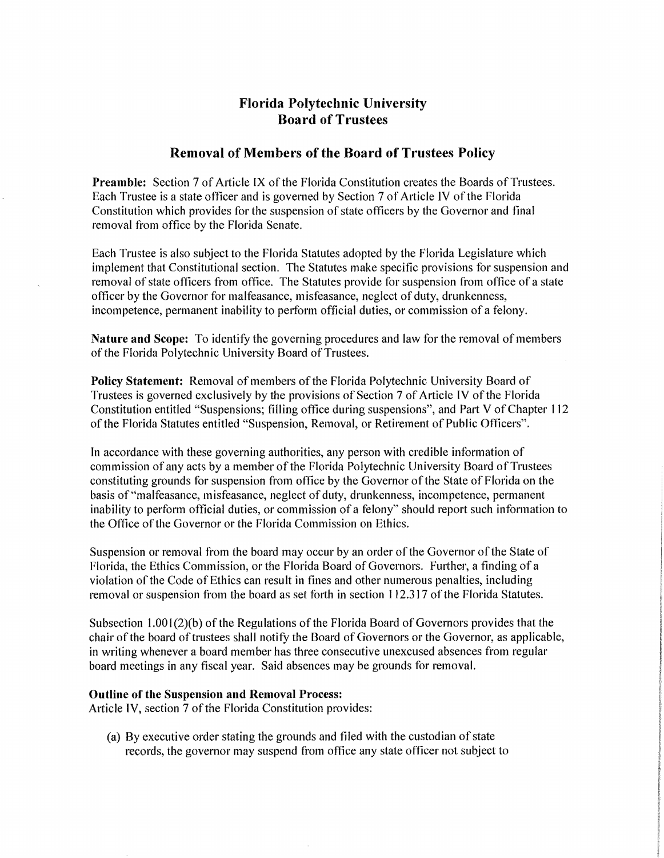# **Florida Polytechnic University Board of Trustees**

# **Removal of Members of the Board of Trustees Policy**

**Preamble:** Section 7 of Article IX of the Florida Constitution creates the Boards of Trustees. Each Trustee is a state officer and is governed by Section 7 of Article IV of the Florida Constitution which provides for the suspension of state officers by the Governor and final removal from office by the Florida Senate.

Each Trustee is also subject to the Florida Statutes adopted by the Florida Legislature which implement that Constitutional section. The Statutes make specific provisions for suspension and removal of state officers from office. The Statutes provide for suspension from office of a state officer by the Governor for malfeasance, misfeasance, neglect of duty, drunkenness, incompetence, permanent inability to perform official duties, or commission of a felony.

**Nature and Scope:** To identify the governing procedures and law for the removal of members of the Florida Polytechnic University Board of Trustees.

**Policy Statement:** Removal of members of the Florida Polytechnic University Board of Trustees is governed exclusively by the provisions of Section 7 of Article IV of the Florida Constitution entitled "Suspensions; filling office during suspensions", and Part V of Chapter 112 of the Florida Statutes entitled "Suspension, Removal, or Retirement of Public Officers".

In accordance with these governing authorities, any person with credible information of commission of any acts by a member of the Florida Polytechnic University Board of Trustees constituting grounds for suspension from office by the Governor of the State of Florida on the basis of ''malfeasance, misfeasance, neglect of duty, drunkenness, incompetence, permanent inability to perform official duties, or commission of a felony" should report such information to the Office of the Governor or the Florida Commission on Ethics.

Suspension or removal from the board may occur by an order of the Governor of the State of Florida, the Ethics Commission, or the Florida Board of Governors. Further, a finding of a violation of the Code of Ethics can result in fines and other numerous penalties, including removal or suspension from the board as set forth in section 112.317 of the Florida Statutes.

Subsection  $1.001(2)(b)$  of the Regulations of the Florida Board of Governors provides that the chair of the board of trustees shall notify the Board of Governors or the Governor, as applicable, in writing whenever a board member has three consecutive unexcused absences from regular board meetings in any fiscal year. Said absences may be grounds for removal.

#### **Outline of the Suspension and Removal Process:**

Article IV, section 7 of the Florida Constitution provides:

(a) By executive order stating the grounds and filed with the custodian of state records, the governor may suspend from office any state officer not subject to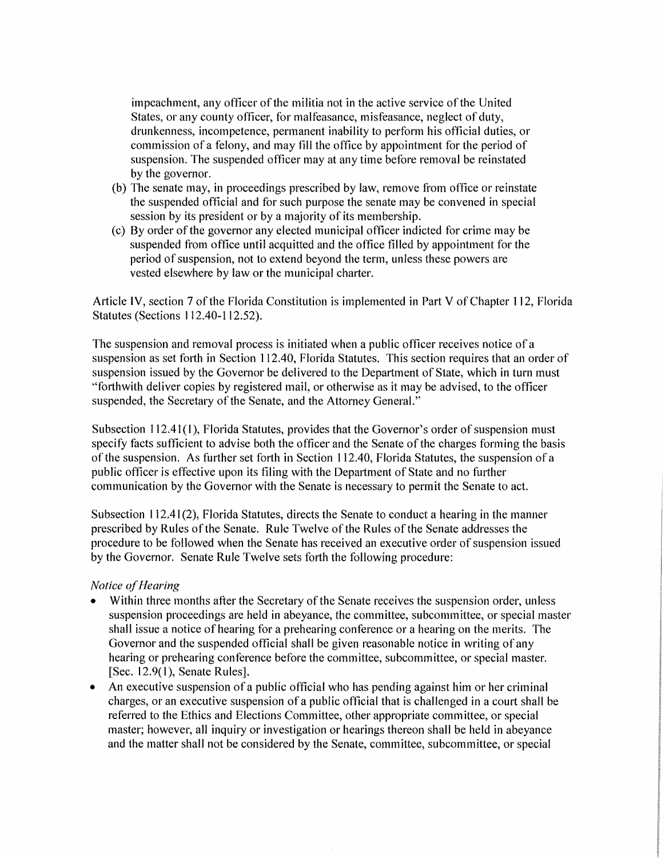impeachment, any officer of the militia not in the active service of the United States, or any county officer, for malfeasance, misfeasance, neglect of duty, drunkenness, incompetence, permanent inability to perform his official duties, or commission of a felony, and may fill the office by appointment for the period of suspension. The suspended officer may at any time before removal be reinstated by the governor.

- (b) The senate may, in proceedings prescribed by law, remove from office or reinstate the suspended official and for such purpose the senate may be convened in special session by its president or by a majority of its membership.
- (c) By order of the governor any elected municipal officer indicted for crime may be suspended from office until acquitted and the office filled by appointment for the period of suspension, not to extend beyond the term, unless these powers are vested elsewhere by law or the municipal charter.

Article IV, section 7 of the Florida Constitution is implemented in Part V of Chapter 112, Florida Statutes (Sections 112.40-112.52).

The suspension and removal process is initiated when a public officer receives notice of a suspension as set forth in Section 112.40, Florida Statutes. This section requires that an order of suspension issued by the Governor be delivered to the Department of State, which in turn must "'forthwith deliver copies by registered mail, or otherwise as it may be advised, to the officer suspended, the Secretary of the Senate, and the Attorney General."

Subsection  $112.41(1)$ , Florida Statutes, provides that the Governor's order of suspension must specify facts sufficient to advise both the officer and the Senate of the charges forming the basis of the suspension. As further set forth in Section 112.40, Florida Statutes, the suspension of a public officer is effective upon its filing with the Department of State and no further communication by the Governor with the Senate is necessary to permit the Senate to act.

Subsection 112.41 (2), Florida Statutes, directs the Senate to conduct a hearing in the manner prescribed by Rules of the Senate. Rule Twelve of the Rules of the Senate addresses the procedure to be followed when the Senate has received an executive order of suspension issued by the Governor. Senate Rule Twelve sets forth the following procedure:

#### **Notice of Hearing**

- Within three months after the Secretary of the Senate receives the suspension order, unless suspension proceedings are held in abeyance, the committee, subcommittee, or special master shall issue a notice of hearing for a prehearing conference or a hearing on the merits. The Governor and the suspended official shall be given reasonable notice in writing of any hearing or prehearing conference before the committee, subcommittee, or special master. [Sec. 12.9(1), Senate Rules].
- An executive suspension of a public official who has pending against him or her criminal charges, or an executive suspension of a public official that is challenged in a court shall be referred to the Ethics and Elections Committee, other appropriate committee, or special master; however, all inquiry or investigation or hearings thereon shall be held in abeyance and the matter shall not be considered by the Senate, committee, subcommittee, or special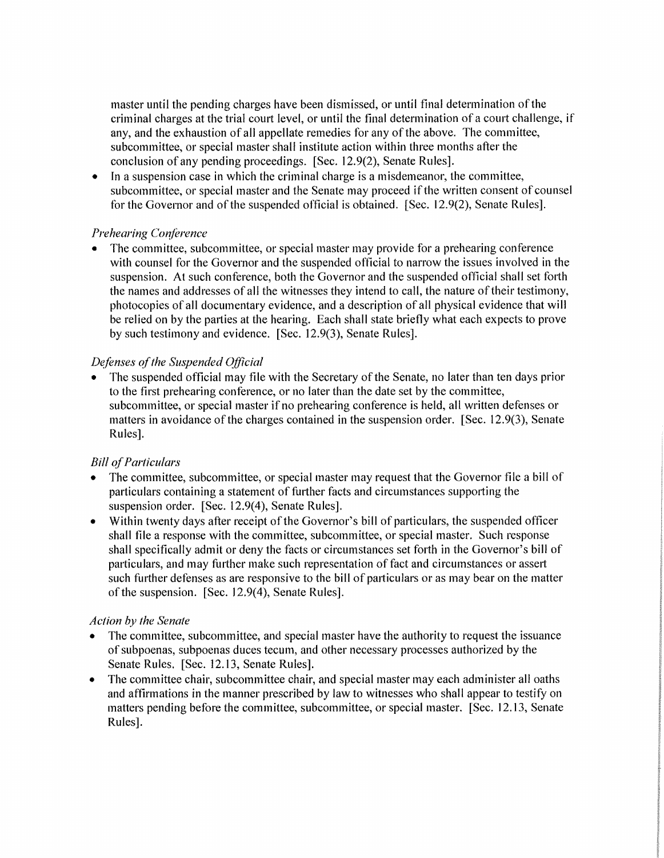master until the pending charges have been dismissed, or until final determination of the criminal charges at the trial court level, or until the final determination of a court challenge, if any, and the exhaustion of all appellate remedies for any of the above. The committee, subcommittee, or special master shall institute action within three months after the conclusion of any pending proceedings. [Sec. 12. 9(2), Senate Rules].

 $\bullet$  In a suspension case in which the criminal charge is a misdemeanor, the committee, subcommittee, or special master and the Senate may proceed if the written consent of counsel for the Governor and of the suspended official is obtained. [Sec. 12.9(2), Senate Rules].

# *Prehearing C01?f'erence*

• The committee, subcommittee, or special master may provide for a prehearing conference with counsel for the Governor and the suspended official to narrow the issues involved in the suspension. At such conference, both the Governor and the suspended official shall set forth the names and addresses of all the witnesses they intend to call, the nature of their testimony, photocopies of all documentary evidence, and a description of all physical evidence that will be relied on by the parties at the hearing. Each shall state briefly what each expects to prove by such testimony and evidence. [Sec. 12.9(3), Senate Rules].

# *Defenses of the Suspended Official*

• The suspended official may file with the Secretary of the Senate, no later than ten days prior to the first prehearing conference, or no later than the date set by the committee, subcommittee, or special master if no prehearing conference is held, all written defenses or matters in avoidance of the charges contained in the suspension order. [Sec. 12.9(3), Senate Rules].

# *Bill of Particulars*

- The committee, subcommittee, or special master may request that the Governor file a bill of particulars containing a statement of further facts and circumstances supporting the suspension order. [Sec. 12.9(4), Senate Rules].
- Within twenty days after receipt of the Governor's bill of particulars, the suspended officer shall file a response with the committee, subcommittee, or special master. Such response shall specifically admit or deny the facts or circumstances set forth in the Governor's bill of particulars, and may further make such representation of fact and circumstances or assert such further defenses as are responsive to the bill of particulars or as may bear on the matter of the suspension. [Sec. 12.9(4), Senate Rules].

#### *Action by the Senate*

- The committee, subcommittee, and special master have the authority to request the issuance of subpoenas, subpoenas duces tecum, and other necessary processes authorized by the Senate Rules. [Sec. 12.13, Senate Rules].
- The committee chair, subcommittee chair, and special master may each administer all oaths and affirmations in the manner prescribed by law to witnesses who shall appear to testify on matters pending before the committee, subcommittee, or special master. [Sec. 12.13, Senate Rules].